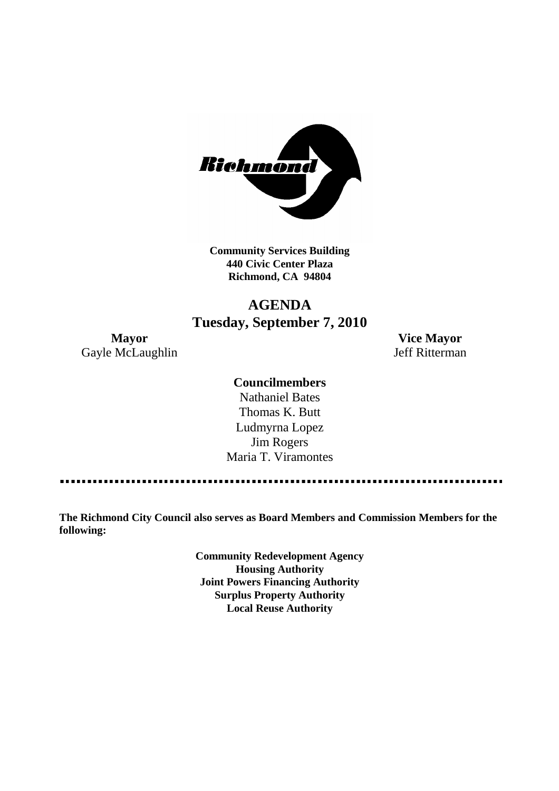

**Community Services Building 440 Civic Center Plaza Richmond, CA 94804**

# **AGENDA Tuesday, September 7, 2010**

**Mayor Vice Mayor** Gayle McLaughlin Jeff Ritterman

### **Councilmembers**

Nathaniel Bates Thomas K. Butt Ludmyrna Lopez Jim Rogers Maria T. Viramontes

**The Richmond City Council also serves as Board Members and Commission Members for the following:**

> **Community Redevelopment Agency Housing Authority Joint Powers Financing Authority Surplus Property Authority Local Reuse Authority**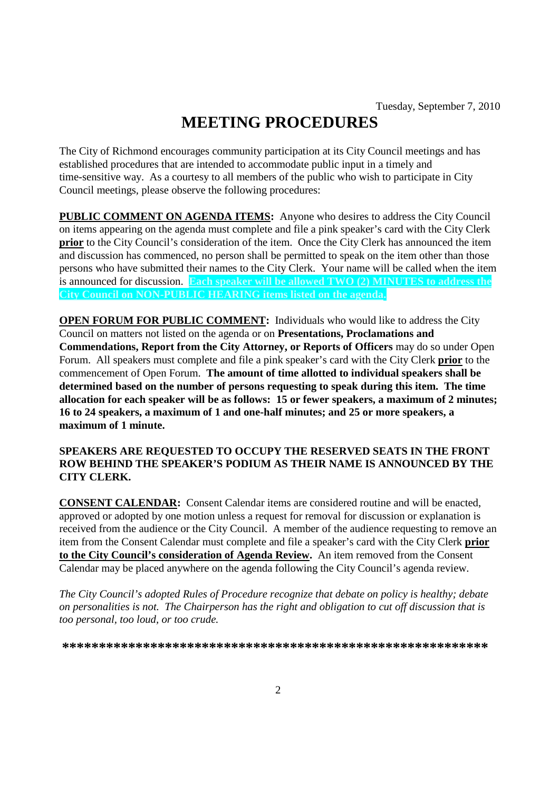# **MEETING PROCEDURES**

The City of Richmond encourages community participation at its City Council meetings and has established procedures that are intended to accommodate public input in a timely and time-sensitive way. As a courtesy to all members of the public who wish to participate in City Council meetings, please observe the following procedures:

**PUBLIC COMMENT ON AGENDA ITEMS:** Anyone who desires to address the City Council on items appearing on the agenda must complete and file a pink speaker's card with the City Clerk **prior** to the City Council's consideration of the item. Once the City Clerk has announced the item and discussion has commenced, no person shall be permitted to speak on the item other than those persons who have submitted their names to the City Clerk. Your name will be called when the item is announced for discussion. **Each speaker will be allowed TWO (2) MINUTES to address the City Council on NON-PUBLIC HEARING items listed on the agenda.**

**OPEN FORUM FOR PUBLIC COMMENT:** Individuals who would like to address the City Council on matters not listed on the agenda or on **Presentations, Proclamations and Commendations, Report from the City Attorney, or Reports of Officers** may do so under Open Forum. All speakers must complete and file a pink speaker's card with the City Clerk **prior** to the commencement of Open Forum. **The amount of time allotted to individual speakers shall be determined based on the number of persons requesting to speak during this item. The time allocation for each speaker will be as follows: 15 or fewer speakers, a maximum of 2 minutes; 16 to 24 speakers, a maximum of 1 and one-half minutes; and 25 or more speakers, a maximum of 1 minute.**

#### **SPEAKERS ARE REQUESTED TO OCCUPY THE RESERVED SEATS IN THE FRONT ROW BEHIND THE SPEAKER'S PODIUM AS THEIR NAME IS ANNOUNCED BY THE CITY CLERK.**

**CONSENT CALENDAR:** Consent Calendar items are considered routine and will be enacted, approved or adopted by one motion unless a request for removal for discussion or explanation is received from the audience or the City Council. A member of the audience requesting to remove an item from the Consent Calendar must complete and file a speaker's card with the City Clerk **prior to the City Council's consideration of Agenda Review.** An item removed from the Consent Calendar may be placed anywhere on the agenda following the City Council's agenda review.

*The City Council's adopted Rules of Procedure recognize that debate on policy is healthy; debate on personalities is not. The Chairperson has the right and obligation to cut off discussion that is too personal, too loud, or too crude.*

**\*\*\*\*\*\*\*\*\*\*\*\*\*\*\*\*\*\*\*\*\*\*\*\*\*\*\*\*\*\*\*\*\*\*\*\*\*\*\*\*\*\*\*\*\*\*\*\*\*\*\*\*\*\*\*\*\*\***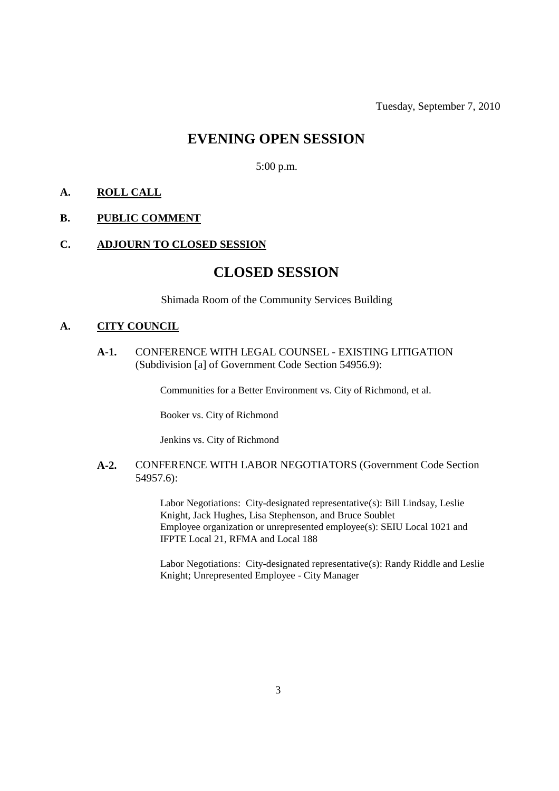# **EVENING OPEN SESSION**

5:00 p.m.

#### **A. ROLL CALL**

#### **B. PUBLIC COMMENT**

#### **C. ADJOURN TO CLOSED SESSION**

# **CLOSED SESSION**

Shimada Room of the Community Services Building

### **A. CITY COUNCIL**

**A-1.** CONFERENCE WITH LEGAL COUNSEL - EXISTING LITIGATION (Subdivision [a] of Government Code Section 54956.9):

Communities for a Better Environment vs. City of Richmond, et al.

Booker vs. City of Richmond

Jenkins vs. City of Richmond

#### **A-2.** CONFERENCE WITH LABOR NEGOTIATORS (Government Code Section 54957.6):

Labor Negotiations: City-designated representative(s): Bill Lindsay, Leslie Knight, Jack Hughes, Lisa Stephenson, and Bruce Soublet Employee organization or unrepresented employee(s): SEIU Local 1021 and IFPTE Local 21, RFMA and Local 188

Labor Negotiations: City-designated representative(s): Randy Riddle and Leslie Knight; Unrepresented Employee - City Manager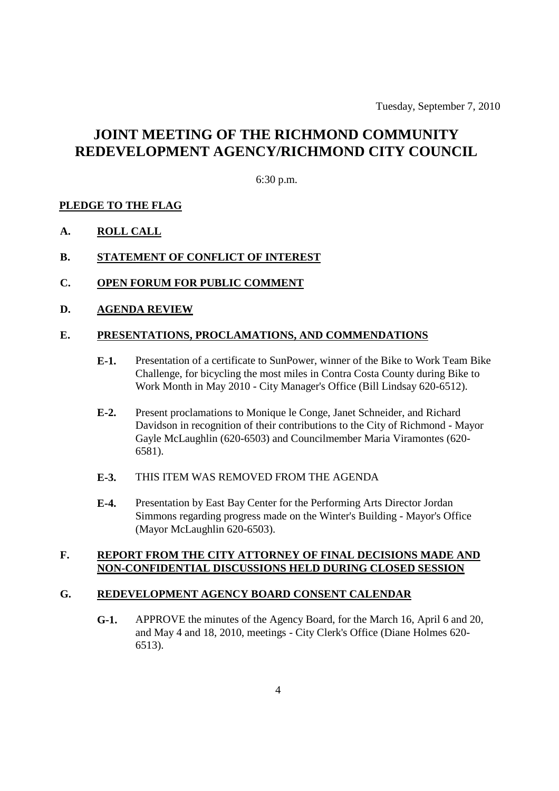Tuesday, September 7, 2010

# **JOINT MEETING OF THE RICHMOND COMMUNITY REDEVELOPMENT AGENCY/RICHMOND CITY COUNCIL**

6:30 p.m.

#### **PLEDGE TO THE FLAG**

**A. ROLL CALL**

#### **B. STATEMENT OF CONFLICT OF INTEREST**

- **C. OPEN FORUM FOR PUBLIC COMMENT**
- **D. AGENDA REVIEW**

#### **E. PRESENTATIONS, PROCLAMATIONS, AND COMMENDATIONS**

- **E-1.** Presentation of a certificate to SunPower, winner of the Bike to Work Team Bike Challenge, for bicycling the most miles in Contra Costa County during Bike to Work Month in May 2010 - City Manager's Office (Bill Lindsay 620-6512).
- **E-2.** Present proclamations to Monique le Conge, Janet Schneider, and Richard Davidson in recognition of their contributions to the City of Richmond - Mayor Gayle McLaughlin (620-6503) and Councilmember Maria Viramontes (620- 6581).

#### **E-3.** THIS ITEM WAS REMOVED FROM THE AGENDA

**E-4.** Presentation by East Bay Center for the Performing Arts Director Jordan Simmons regarding progress made on the Winter's Building - Mayor's Office (Mayor McLaughlin 620-6503).

#### **F. REPORT FROM THE CITY ATTORNEY OF FINAL DECISIONS MADE AND NON-CONFIDENTIAL DISCUSSIONS HELD DURING CLOSED SESSION**

#### **G. REDEVELOPMENT AGENCY BOARD CONSENT CALENDAR**

**G-1.** APPROVE the minutes of the Agency Board, for the March 16, April 6 and 20, and May 4 and 18, 2010, meetings - City Clerk's Office (Diane Holmes 620- 6513).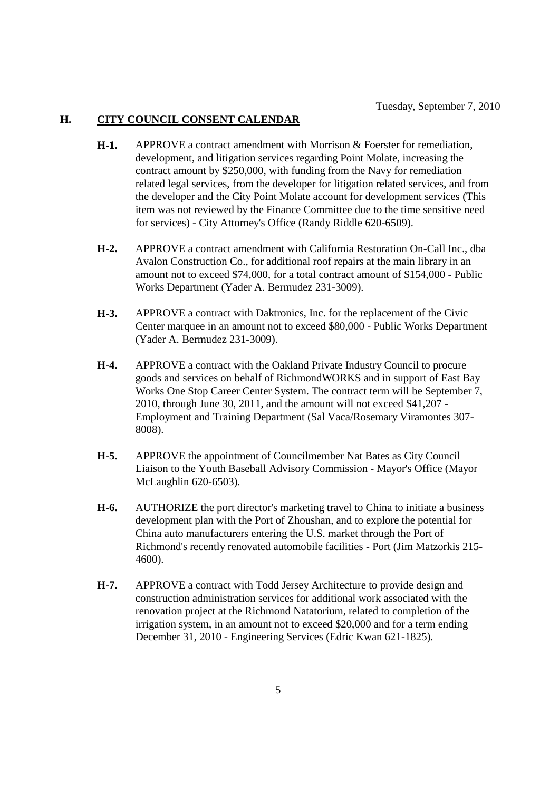### **H. CITY COUNCIL CONSENT CALENDAR**

- **H-1.** APPROVE a contract amendment with Morrison & Foerster for remediation, development, and litigation services regarding Point Molate, increasing the contract amount by \$250,000, with funding from the Navy for remediation related legal services, from the developer for litigation related services, and from the developer and the City Point Molate account for development services (This item was not reviewed by the Finance Committee due to the time sensitive need for services) - City Attorney's Office (Randy Riddle 620-6509).
- **H-2.** APPROVE a contract amendment with California Restoration On-Call Inc., dba Avalon Construction Co., for additional roof repairs at the main library in an amount not to exceed \$74,000, for a total contract amount of \$154,000 - Public Works Department (Yader A. Bermudez 231-3009).
- **H-3.** APPROVE a contract with Daktronics, Inc. for the replacement of the Civic Center marquee in an amount not to exceed \$80,000 - Public Works Department (Yader A. Bermudez 231-3009).
- **H-4.** APPROVE a contract with the Oakland Private Industry Council to procure goods and services on behalf of RichmondWORKS and in support of East Bay Works One Stop Career Center System. The contract term will be September 7, 2010, through June 30, 2011, and the amount will not exceed \$41,207 - Employment and Training Department (Sal Vaca/Rosemary Viramontes 307- 8008).
- **H-5.** APPROVE the appointment of Councilmember Nat Bates as City Council Liaison to the Youth Baseball Advisory Commission - Mayor's Office (Mayor McLaughlin 620-6503).
- **H-6.** AUTHORIZE the port director's marketing travel to China to initiate a business development plan with the Port of Zhoushan, and to explore the potential for China auto manufacturers entering the U.S. market through the Port of Richmond's recently renovated automobile facilities - Port (Jim Matzorkis 215- 4600).
- **H-7.** APPROVE a contract with Todd Jersey Architecture to provide design and construction administration services for additional work associated with the renovation project at the Richmond Natatorium, related to completion of the irrigation system, in an amount not to exceed \$20,000 and for a term ending December 31, 2010 - Engineering Services (Edric Kwan 621-1825).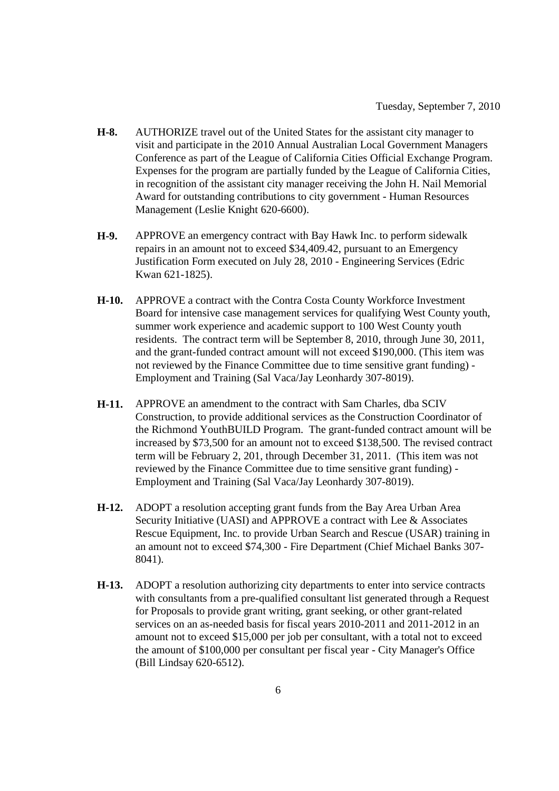- **H-8.** AUTHORIZE travel out of the United States for the assistant city manager to visit and participate in the 2010 Annual Australian Local Government Managers Conference as part of the League of California Cities Official Exchange Program. Expenses for the program are partially funded by the League of California Cities, in recognition of the assistant city manager receiving the John H. Nail Memorial Award for outstanding contributions to city government - Human Resources Management (Leslie Knight 620-6600).
- **H-9.** APPROVE an emergency contract with Bay Hawk Inc. to perform sidewalk repairs in an amount not to exceed \$34,409.42, pursuant to an Emergency Justification Form executed on July 28, 2010 - Engineering Services (Edric Kwan 621-1825).
- **H-10.** APPROVE a contract with the Contra Costa County Workforce Investment Board for intensive case management services for qualifying West County youth, summer work experience and academic support to 100 West County youth residents. The contract term will be September 8, 2010, through June 30, 2011, and the grant-funded contract amount will not exceed \$190,000. (This item was not reviewed by the Finance Committee due to time sensitive grant funding) - Employment and Training (Sal Vaca/Jay Leonhardy 307-8019).
- **H-11.** APPROVE an amendment to the contract with Sam Charles, dba SCIV Construction, to provide additional services as the Construction Coordinator of the Richmond YouthBUILD Program. The grant-funded contract amount will be increased by \$73,500 for an amount not to exceed \$138,500. The revised contract term will be February 2, 201, through December 31, 2011. (This item was not reviewed by the Finance Committee due to time sensitive grant funding) - Employment and Training (Sal Vaca/Jay Leonhardy 307-8019).
- **H-12.** ADOPT a resolution accepting grant funds from the Bay Area Urban Area Security Initiative (UASI) and APPROVE a contract with Lee & Associates Rescue Equipment, Inc. to provide Urban Search and Rescue (USAR) training in an amount not to exceed \$74,300 - Fire Department (Chief Michael Banks 307- 8041).
- **H-13.** ADOPT a resolution authorizing city departments to enter into service contracts with consultants from a pre-qualified consultant list generated through a Request for Proposals to provide grant writing, grant seeking, or other grant-related services on an as-needed basis for fiscal years 2010-2011 and 2011-2012 in an amount not to exceed \$15,000 per job per consultant, with a total not to exceed the amount of \$100,000 per consultant per fiscal year - City Manager's Office (Bill Lindsay 620-6512).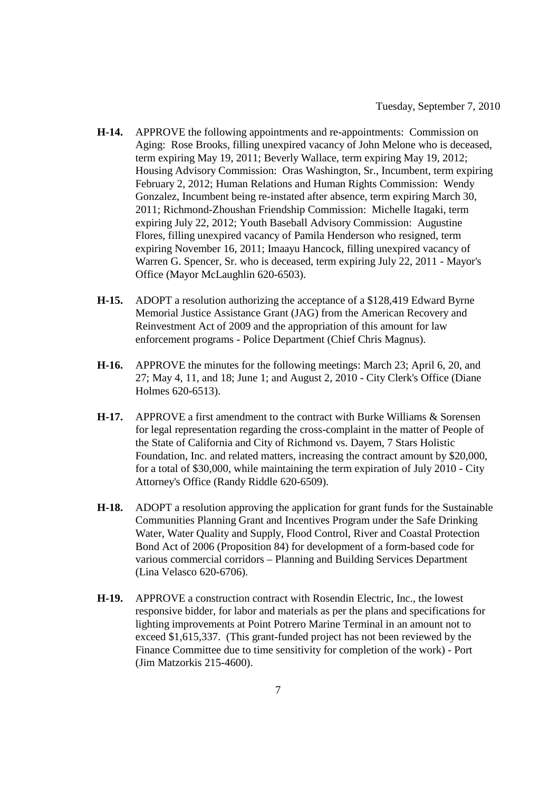- **H-14.** APPROVE the following appointments and re-appointments: Commission on Aging: Rose Brooks, filling unexpired vacancy of John Melone who is deceased, term expiring May 19, 2011; Beverly Wallace, term expiring May 19, 2012; Housing Advisory Commission: Oras Washington, Sr., Incumbent, term expiring February 2, 2012; Human Relations and Human Rights Commission: Wendy Gonzalez, Incumbent being re-instated after absence, term expiring March 30, 2011; Richmond-Zhoushan Friendship Commission: Michelle Itagaki, term expiring July 22, 2012; Youth Baseball Advisory Commission: Augustine Flores, filling unexpired vacancy of Pamila Henderson who resigned, term expiring November 16, 2011; Imaayu Hancock, filling unexpired vacancy of Warren G. Spencer, Sr. who is deceased, term expiring July 22, 2011 - Mayor's Office (Mayor McLaughlin 620-6503).
- **H-15.** ADOPT a resolution authorizing the acceptance of a \$128,419 Edward Byrne Memorial Justice Assistance Grant (JAG) from the American Recovery and Reinvestment Act of 2009 and the appropriation of this amount for law enforcement programs - Police Department (Chief Chris Magnus).
- **H-16.** APPROVE the minutes for the following meetings: March 23; April 6, 20, and 27; May 4, 11, and 18; June 1; and August 2, 2010 - City Clerk's Office (Diane Holmes 620-6513).
- **H-17.** APPROVE a first amendment to the contract with Burke Williams & Sorensen for legal representation regarding the cross-complaint in the matter of People of the State of California and City of Richmond vs. Dayem, 7 Stars Holistic Foundation, Inc. and related matters, increasing the contract amount by \$20,000, for a total of \$30,000, while maintaining the term expiration of July 2010 - City Attorney's Office (Randy Riddle 620-6509).
- **H-18.** ADOPT a resolution approving the application for grant funds for the Sustainable Communities Planning Grant and Incentives Program under the Safe Drinking Water, Water Quality and Supply, Flood Control, River and Coastal Protection Bond Act of 2006 (Proposition 84) for development of a form-based code for various commercial corridors – Planning and Building Services Department (Lina Velasco 620-6706).
- **H-19.** APPROVE a construction contract with Rosendin Electric, Inc., the lowest responsive bidder, for labor and materials as per the plans and specifications for lighting improvements at Point Potrero Marine Terminal in an amount not to exceed \$1,615,337. (This grant-funded project has not been reviewed by the Finance Committee due to time sensitivity for completion of the work) - Port (Jim Matzorkis 215-4600).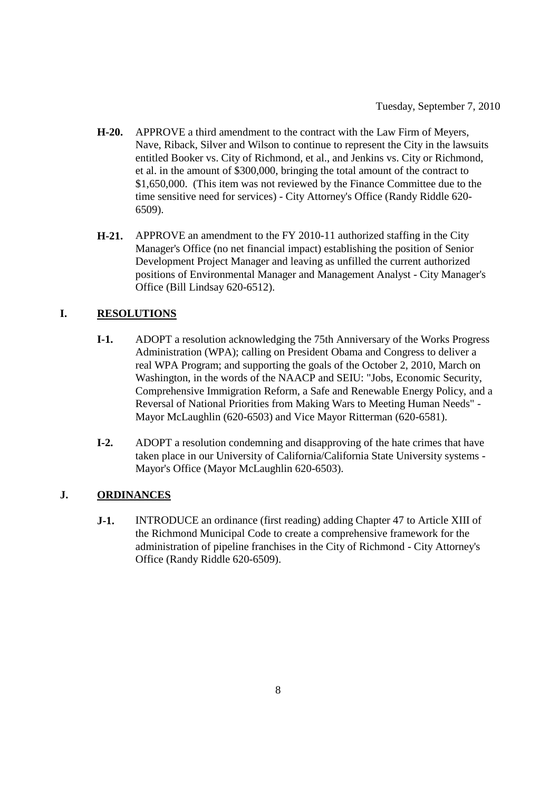- **H-20.** APPROVE a third amendment to the contract with the Law Firm of Meyers, Nave, Riback, Silver and Wilson to continue to represent the City in the lawsuits entitled Booker vs. City of Richmond, et al., and Jenkins vs. City or Richmond, et al. in the amount of \$300,000, bringing the total amount of the contract to \$1,650,000. (This item was not reviewed by the Finance Committee due to the time sensitive need for services) - City Attorney's Office (Randy Riddle 620- 6509).
- **H-21.** APPROVE an amendment to the FY 2010-11 authorized staffing in the City Manager's Office (no net financial impact) establishing the position of Senior Development Project Manager and leaving as unfilled the current authorized positions of Environmental Manager and Management Analyst - City Manager's Office (Bill Lindsay 620-6512).

# **I. RESOLUTIONS**

- **I-1.** ADOPT a resolution acknowledging the 75th Anniversary of the Works Progress Administration (WPA); calling on President Obama and Congress to deliver a real WPA Program; and supporting the goals of the October 2, 2010, March on Washington, in the words of the NAACP and SEIU: "Jobs, Economic Security, Comprehensive Immigration Reform, a Safe and Renewable Energy Policy, and a Reversal of National Priorities from Making Wars to Meeting Human Needs" - Mayor McLaughlin (620-6503) and Vice Mayor Ritterman (620-6581).
- **I-2.** ADOPT a resolution condemning and disapproving of the hate crimes that have taken place in our University of California/California State University systems - Mayor's Office (Mayor McLaughlin 620-6503).

## **J. ORDINANCES**

**J-1.** INTRODUCE an ordinance (first reading) adding Chapter 47 to Article XIII of the Richmond Municipal Code to create a comprehensive framework for the administration of pipeline franchises in the City of Richmond - City Attorney's Office (Randy Riddle 620-6509).